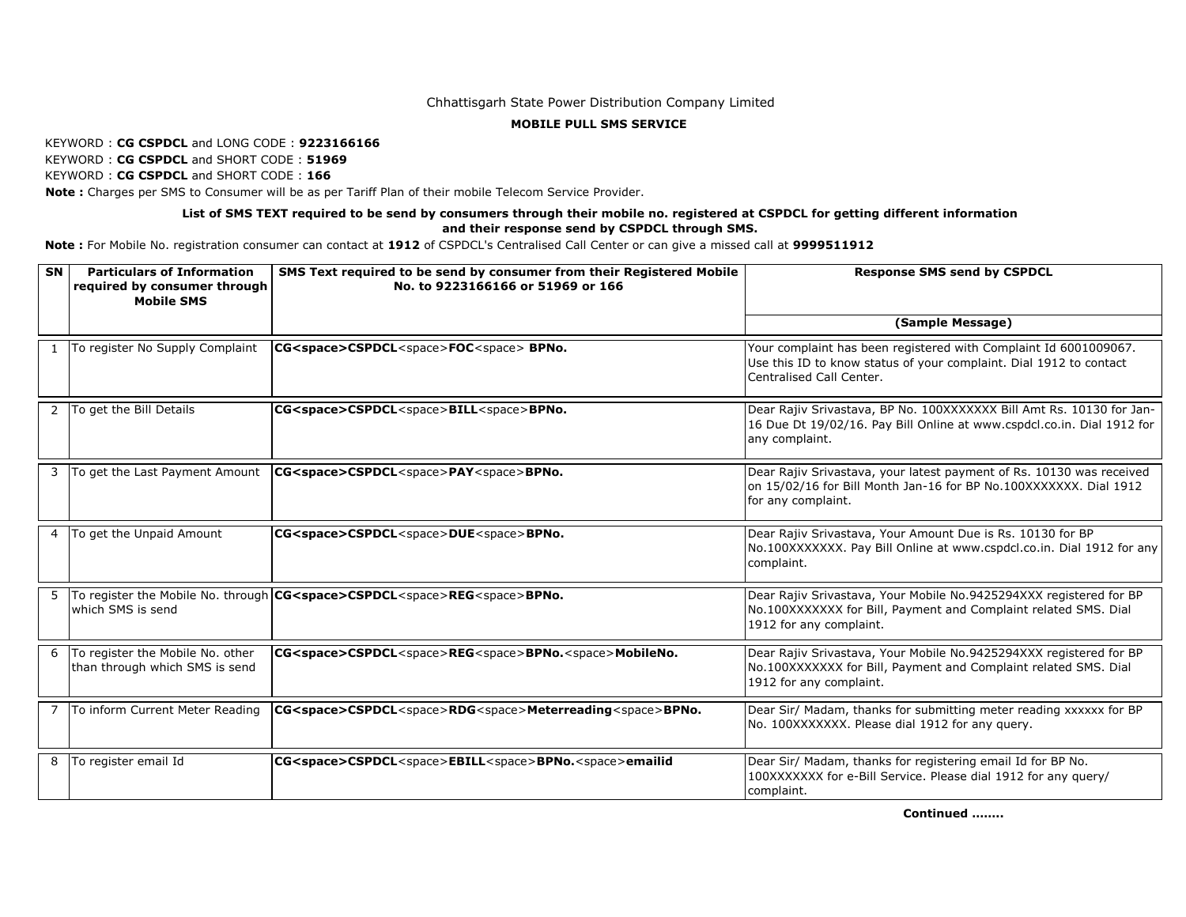### Chhattisgarh State Power Distribution Company Limited

#### **MOBILE PULL SMS SERVICE**

#### KEYWORD : **CG CSPDCL** and LONG CODE : **9223166166**

KEYWORD : **CG CSPDCL** and SHORT CODE : **51969**

KEYWORD : **CG CSPDCL** and SHORT CODE : **166**

 **Note :** Charges per SMS to Consumer will be as per Tariff Plan of their mobile Telecom Service Provider.

# **List of SMS TEXT required to be send by consumers through their mobile no. registered at CSPDCL for getting different information and their response send by CSPDCL through SMS.**

 **Note :** For Mobile No. registration consumer can contact at **1912** of CSPDCL's Centralised Call Center or can give a missed call at **9999511912** 

| <b>SN</b> | <b>Particulars of Information</b><br>required by consumer through<br><b>Mobile SMS</b> | SMS Text required to be send by consumer from their Registered Mobile<br>No. to 9223166166 or 51969 or 166 | <b>Response SMS send by CSPDCL</b>                                                                                                                                 |
|-----------|----------------------------------------------------------------------------------------|------------------------------------------------------------------------------------------------------------|--------------------------------------------------------------------------------------------------------------------------------------------------------------------|
|           |                                                                                        |                                                                                                            | (Sample Message)                                                                                                                                                   |
|           | To register No Supply Complaint                                                        | CG <space>CSPDCL<space>FOC<space>BPNo.</space></space></space>                                             | Your complaint has been registered with Complaint Id 6001009067.<br>Use this ID to know status of your complaint. Dial 1912 to contact<br>Centralised Call Center. |
| 2         | To get the Bill Details                                                                | CG <space>CSPDCL<space>BILL<space>BPNo.</space></space></space>                                            | Dear Rajiv Srivastava, BP No. 100XXXXXXX Bill Amt Rs. 10130 for Jan-<br>16 Due Dt 19/02/16. Pay Bill Online at www.cspdcl.co.in. Dial 1912 for<br>any complaint.   |
|           | To get the Last Payment Amount                                                         | CG <space>CSPDCL<space>PAY<space>BPNo.</space></space></space>                                             | Dear Rajiv Srivastava, your latest payment of Rs. 10130 was received<br>on 15/02/16 for Bill Month Jan-16 for BP No.100XXXXXXX. Dial 1912<br>for any complaint.    |
| 4         | To get the Unpaid Amount                                                               | CG <space>CSPDCL<space>DUE<space>BPNo.</space></space></space>                                             | Dear Rajiv Srivastava, Your Amount Due is Rs. 10130 for BP<br>No.100XXXXXXX. Pay Bill Online at www.cspdcl.co.in. Dial 1912 for any<br>complaint.                  |
| 5         | which SMS is send                                                                      | To register the Mobile No. through CG <space>CSPDCL<space>REG<space>BPNo.</space></space></space>          | Dear Rajiv Srivastava, Your Mobile No.9425294XXX registered for BP<br>No.100XXXXXXX for Bill, Payment and Complaint related SMS. Dial<br>1912 for any complaint.   |
| 6         | To register the Mobile No. other<br>than through which SMS is send                     | CG <space>CSPDCL<space>REG<space>BPNo.<space>MobileNo.</space></space></space></space>                     | Dear Rajiv Srivastava, Your Mobile No.9425294XXX registered for BP<br>No.100XXXXXXX for Bill, Payment and Complaint related SMS. Dial<br>1912 for any complaint.   |
|           | To inform Current Meter Reading                                                        | CG <space>CSPDCL<space>RDG<space>Meterreading<space>BPNo.</space></space></space></space>                  | Dear Sir/ Madam, thanks for submitting meter reading xxxxxx for BP<br>No. 100XXXXXXX. Please dial 1912 for any query.                                              |
| 8         | To register email Id                                                                   | CG <space>CSPDCL<space>EBILL<space>BPNo.<space>emailid</space></space></space></space>                     | Dear Sir/ Madam, thanks for registering email Id for BP No.<br>100XXXXXXX for e-Bill Service. Please dial 1912 for any query/<br>complaint.                        |

**Continued ……..**